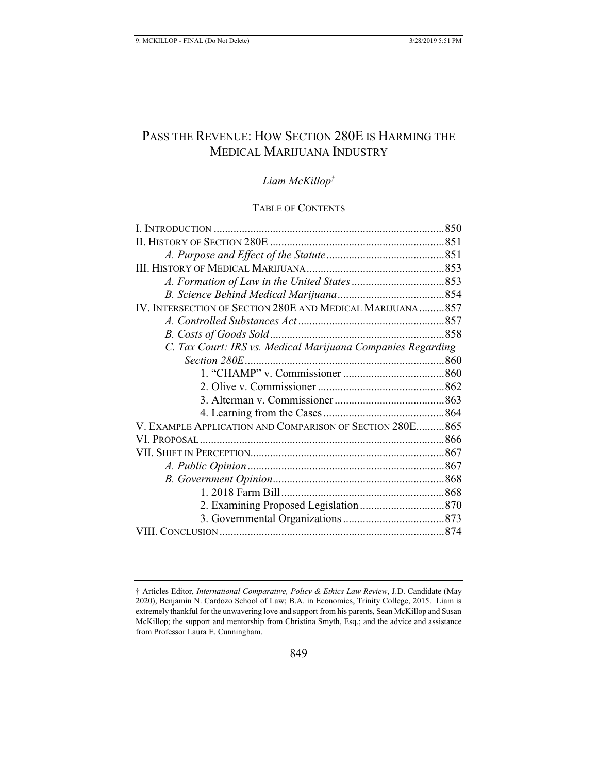# PASS THE REVENUE: HOW SECTION 280E IS HARMING THE MEDICAL MARIJUANA INDUSTRY

# *Liam McKillop†*

# TABLE OF CONTENTS

| IV. INTERSECTION OF SECTION 280E AND MEDICAL MARIJUANA857   |  |
|-------------------------------------------------------------|--|
|                                                             |  |
|                                                             |  |
| C. Tax Court: IRS vs. Medical Marijuana Companies Regarding |  |
|                                                             |  |
|                                                             |  |
|                                                             |  |
|                                                             |  |
|                                                             |  |
| V. EXAMPLE APPLICATION AND COMPARISON OF SECTION 280E865    |  |
|                                                             |  |
|                                                             |  |
|                                                             |  |
|                                                             |  |
|                                                             |  |
|                                                             |  |
|                                                             |  |
|                                                             |  |
|                                                             |  |

<sup>†</sup> Articles Editor, *International Comparative, Policy & Ethics Law Review*, J.D. Candidate (May 2020), Benjamin N. Cardozo School of Law; B.A. in Economics, Trinity College, 2015. Liam is extremely thankful for the unwavering love and support from his parents, Sean McKillop and Susan McKillop; the support and mentorship from Christina Smyth, Esq.; and the advice and assistance from Professor Laura E. Cunningham.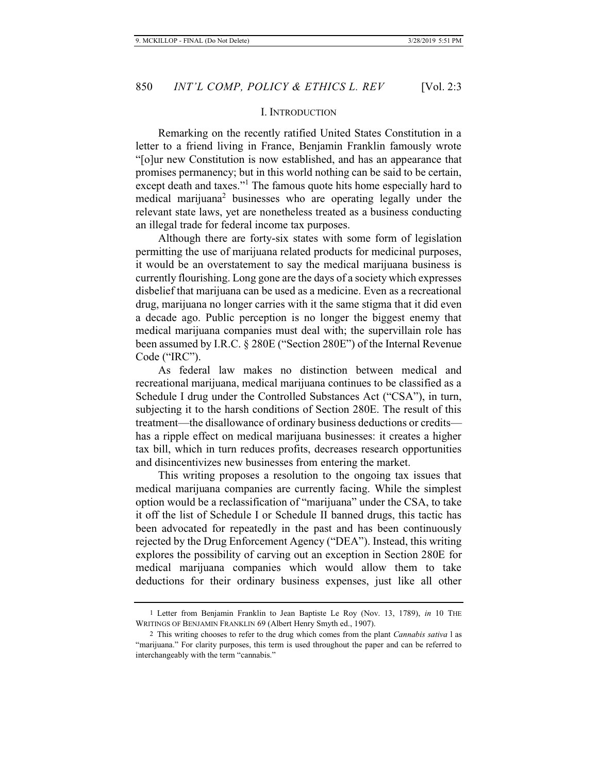#### I. INTRODUCTION

Remarking on the recently ratified United States Constitution in a letter to a friend living in France, Benjamin Franklin famously wrote "[o]ur new Constitution is now established, and has an appearance that promises permanency; but in this world nothing can be said to be certain, except death and taxes."<sup>1</sup> The famous quote hits home especially hard to medical marijuana<sup>2</sup> businesses who are operating legally under the relevant state laws, yet are nonetheless treated as a business conducting an illegal trade for federal income tax purposes.

Although there are forty-six states with some form of legislation permitting the use of marijuana related products for medicinal purposes, it would be an overstatement to say the medical marijuana business is currently flourishing. Long gone are the days of a society which expresses disbelief that marijuana can be used as a medicine. Even as a recreational drug, marijuana no longer carries with it the same stigma that it did even a decade ago. Public perception is no longer the biggest enemy that medical marijuana companies must deal with; the supervillain role has been assumed by I.R.C. § 280E ("Section 280E") of the Internal Revenue Code ("IRC").

As federal law makes no distinction between medical and recreational marijuana, medical marijuana continues to be classified as a Schedule I drug under the Controlled Substances Act ("CSA"), in turn, subjecting it to the harsh conditions of Section 280E. The result of this treatment—the disallowance of ordinary business deductions or credits has a ripple effect on medical marijuana businesses: it creates a higher tax bill, which in turn reduces profits, decreases research opportunities and disincentivizes new businesses from entering the market.

This writing proposes a resolution to the ongoing tax issues that medical marijuana companies are currently facing. While the simplest option would be a reclassification of "marijuana" under the CSA, to take it off the list of Schedule I or Schedule II banned drugs, this tactic has been advocated for repeatedly in the past and has been continuously rejected by the Drug Enforcement Agency ("DEA"). Instead, this writing explores the possibility of carving out an exception in Section 280E for medical marijuana companies which would allow them to take deductions for their ordinary business expenses, just like all other

<sup>1</sup> Letter from Benjamin Franklin to Jean Baptiste Le Roy (Nov. 13, 1789), *in* 10 THE WRITINGS OF BENJAMIN FRANKLIN 69 (Albert Henry Smyth ed., 1907).

<sup>2</sup> This writing chooses to refer to the drug which comes from the plant *Cannabis sativa* l as "marijuana." For clarity purposes, this term is used throughout the paper and can be referred to interchangeably with the term "cannabis."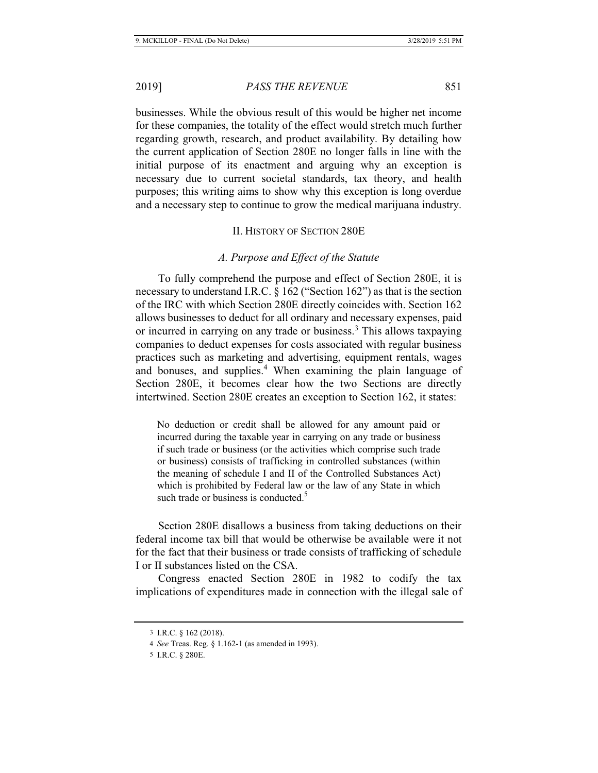businesses. While the obvious result of this would be higher net income for these companies, the totality of the effect would stretch much further regarding growth, research, and product availability. By detailing how the current application of Section 280E no longer falls in line with the initial purpose of its enactment and arguing why an exception is necessary due to current societal standards, tax theory, and health purposes; this writing aims to show why this exception is long overdue and a necessary step to continue to grow the medical marijuana industry.

#### II. HISTORY OF SECTION 280E

## *A. Purpose and Effect of the Statute*

To fully comprehend the purpose and effect of Section 280E, it is necessary to understand I.R.C. § 162 ("Section 162") as that is the section of the IRC with which Section 280E directly coincides with. Section 162 allows businesses to deduct for all ordinary and necessary expenses, paid or incurred in carrying on any trade or business.<sup>3</sup> This allows taxpaying companies to deduct expenses for costs associated with regular business practices such as marketing and advertising, equipment rentals, wages and bonuses, and supplies.<sup>4</sup> When examining the plain language of Section 280E, it becomes clear how the two Sections are directly intertwined. Section 280E creates an exception to Section 162, it states:

No deduction or credit shall be allowed for any amount paid or incurred during the taxable year in carrying on any trade or business if such trade or business (or the activities which comprise such trade or business) consists of trafficking in controlled substances (within the meaning of schedule I and II of the Controlled Substances Act) which is prohibited by Federal law or the law of any State in which such trade or business is conducted.<sup>5</sup>

Section 280E disallows a business from taking deductions on their federal income tax bill that would be otherwise be available were it not for the fact that their business or trade consists of trafficking of schedule I or II substances listed on the CSA.

Congress enacted Section 280E in 1982 to codify the tax implications of expenditures made in connection with the illegal sale of

<sup>3</sup> I.R.C. § 162 (2018).

<sup>4</sup> *See* Treas. Reg. § 1.162-1 (as amended in 1993).

<sup>5</sup> I.R.C. § 280E.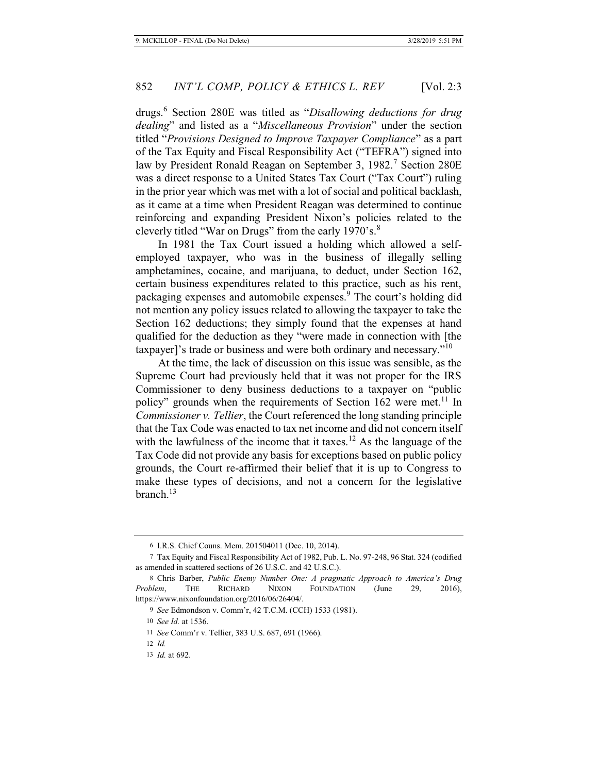drugs.<sup>6</sup> Section 280E was titled as "*Disallowing deductions for drug dealing*" and listed as a "*Miscellaneous Provision*" under the section titled "*Provisions Designed to Improve Taxpayer Compliance*" as a part of the Tax Equity and Fiscal Responsibility Act ("TEFRA") signed into law by President Ronald Reagan on September 3, 1982.<sup>7</sup> Section 280E was a direct response to a United States Tax Court ("Tax Court") ruling in the prior year which was met with a lot of social and political backlash, as it came at a time when President Reagan was determined to continue reinforcing and expanding President Nixon's policies related to the cleverly titled "War on Drugs" from the early 1970's.<sup>8</sup>

In 1981 the Tax Court issued a holding which allowed a selfemployed taxpayer, who was in the business of illegally selling amphetamines, cocaine, and marijuana, to deduct, under Section 162, certain business expenditures related to this practice, such as his rent, packaging expenses and automobile expenses.<sup>9</sup> The court's holding did not mention any policy issues related to allowing the taxpayer to take the Section 162 deductions; they simply found that the expenses at hand qualified for the deduction as they "were made in connection with [the taxpayer]'s trade or business and were both ordinary and necessary."<sup>10</sup>

At the time, the lack of discussion on this issue was sensible, as the Supreme Court had previously held that it was not proper for the IRS Commissioner to deny business deductions to a taxpayer on "public policy" grounds when the requirements of Section 162 were met.<sup>11</sup> In *Commissioner v. Tellier*, the Court referenced the long standing principle that the Tax Code was enacted to tax net income and did not concern itself with the lawfulness of the income that it taxes.<sup>12</sup> As the language of the Tax Code did not provide any basis for exceptions based on public policy grounds, the Court re-affirmed their belief that it is up to Congress to make these types of decisions, and not a concern for the legislative branch.<sup>13</sup>

<sup>6</sup> I.R.S. Chief Couns. Mem. 201504011 (Dec. 10, 2014).

<sup>7</sup> Tax Equity and Fiscal Responsibility Act of 1982, Pub. L. No. 97-248, 96 Stat. 324 (codified as amended in scattered sections of 26 U.S.C. and 42 U.S.C.).

<sup>8</sup> Chris Barber, *Public Enemy Number One: A pragmatic Approach to America's Drug Problem*, THE RICHARD NIXON FOUNDATION (June 29, 2016), https://www.nixonfoundation.org/2016/06/26404/.

<sup>9</sup> *See* Edmondson v. Comm'r, 42 T.C.M. (CCH) 1533 (1981).

<sup>10</sup> *See Id.* at 1536.

<sup>11</sup> *See* Comm'r v. Tellier, 383 U.S. 687, 691 (1966).

<sup>12</sup> *Id.*

<sup>13</sup> *Id.* at 692.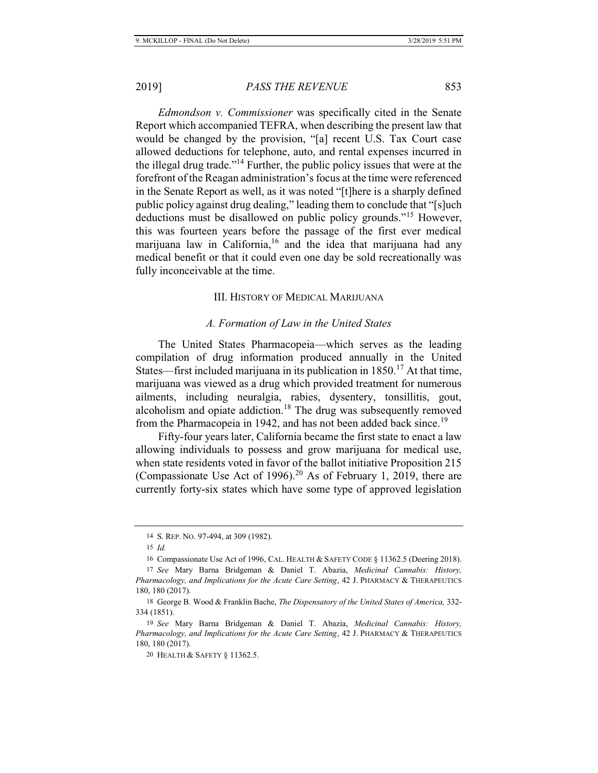*Edmondson v. Commissioner* was specifically cited in the Senate Report which accompanied TEFRA, when describing the present law that would be changed by the provision, "[a] recent U.S. Tax Court case allowed deductions for telephone, auto, and rental expenses incurred in the illegal drug trade."<sup>14</sup> Further, the public policy issues that were at the forefront of the Reagan administration's focus at the time were referenced in the Senate Report as well, as it was noted "[t]here is a sharply defined public policy against drug dealing," leading them to conclude that "[s]uch deductions must be disallowed on public policy grounds."15 However, this was fourteen years before the passage of the first ever medical marijuana law in California,  $16$  and the idea that marijuana had any medical benefit or that it could even one day be sold recreationally was fully inconceivable at the time.

### III. HISTORY OF MEDICAL MARIJUANA

#### *A. Formation of Law in the United States*

The United States Pharmacopeia—which serves as the leading compilation of drug information produced annually in the United States—first included marijuana in its publication in  $1850$ .<sup>17</sup> At that time, marijuana was viewed as a drug which provided treatment for numerous ailments, including neuralgia, rabies, dysentery, tonsillitis, gout, alcoholism and opiate addiction.<sup>18</sup> The drug was subsequently removed from the Pharmacopeia in 1942, and has not been added back since.<sup>19</sup>

Fifty-four years later, California became the first state to enact a law allowing individuals to possess and grow marijuana for medical use, when state residents voted in favor of the ballot initiative Proposition 215 (Compassionate Use Act of 1996).<sup>20</sup> As of February 1, 2019, there are currently forty-six states which have some type of approved legislation

<sup>14</sup> S. REP. NO. 97-494, at 309 (1982).

<sup>15</sup> *Id.*

<sup>16</sup> Compassionate Use Act of 1996, CAL. HEALTH & SAFETY CODE § 11362.5 (Deering 2018).

<sup>17</sup> *See* Mary Barna Bridgeman & Daniel T. Abazia, *Medicinal Cannabis: History, Pharmacology, and Implications for the Acute Care Setting*, 42 J. PHARMACY & THERAPEUTICS 180, 180 (2017).

<sup>18</sup> George B. Wood & Franklin Bache, *The Dispensatory of the United States of America,* 332- 334 (1851).

<sup>19</sup> *See* Mary Barna Bridgeman & Daniel T. Abazia, *Medicinal Cannabis: History, Pharmacology, and Implications for the Acute Care Setting*, 42 J. PHARMACY & THERAPEUTICS 180, 180 (2017).

<sup>20</sup> HEALTH & SAFETY § 11362.5.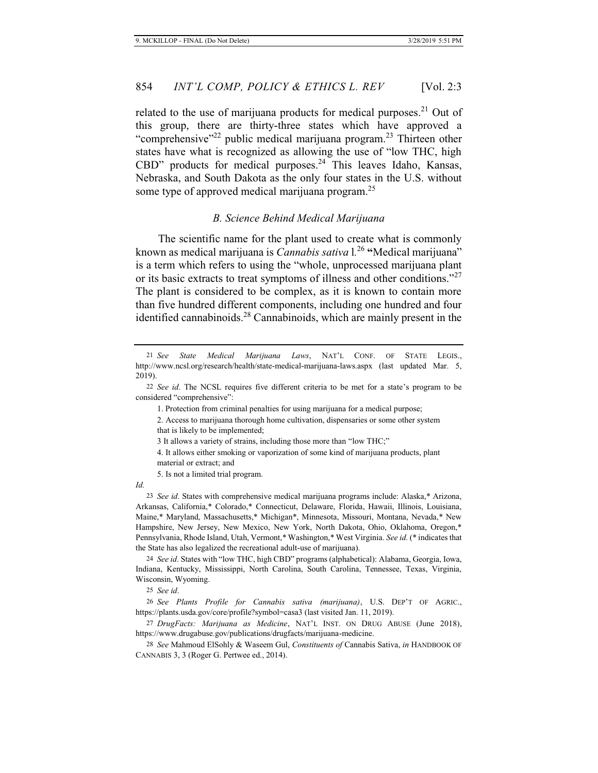related to the use of marijuana products for medical purposes.<sup>21</sup> Out of this group, there are thirty-three states which have approved a "comprehensive"<sup>22</sup> public medical marijuana program.<sup>23</sup> Thirteen other states have what is recognized as allowing the use of "low THC, high CBD" products for medical purposes. $24$  This leaves Idaho, Kansas, Nebraska, and South Dakota as the only four states in the U.S. without some type of approved medical marijuana program.<sup>25</sup>

#### *B. Science Behind Medical Marijuana*

The scientific name for the plant used to create what is commonly known as medical marijuana is *Cannabis sativa* l*.* <sup>26</sup> **"**Medical marijuana" is a term which refers to using the "whole, unprocessed marijuana plant or its basic extracts to treat symptoms of illness and other conditions."<sup>27</sup> The plant is considered to be complex, as it is known to contain more than five hundred different components, including one hundred and four identified cannabinoids.<sup>28</sup> Cannabinoids, which are mainly present in the

1. Protection from criminal penalties for using marijuana for a medical purpose;

3 It allows a variety of strains, including those more than "low THC;"

4. It allows either smoking or vaporization of some kind of marijuana products, plant material or extract; and

*Id.*

23 *See id*. States with comprehensive medical marijuana programs include: Alaska,\* Arizona, Arkansas, California,\* Colorado,\* Connecticut, Delaware, Florida, Hawaii, Illinois, Louisiana, Maine,\* Maryland, Massachusetts,\* Michigan\*, Minnesota, Missouri, Montana, Nevada,\* New Hampshire, New Jersey, New Mexico, New York, North Dakota, Ohio, Oklahoma, Oregon,\* Pennsylvania, Rhode Island, Utah, Vermont,\* Washington,\* West Virginia. *See id.* (\* indicates that the State has also legalized the recreational adult-use of marijuana).

24 *See id*. States with "low THC, high CBD" programs (alphabetical): Alabama, Georgia, Iowa, Indiana, Kentucky, Mississippi, North Carolina, South Carolina, Tennessee, Texas, Virginia, Wisconsin, Wyoming.

25 *See id*.

26 *See Plants Profile for Cannabis sativa (marijuana)*, U.S. DEP'T OF AGRIC., https://plants.usda.gov/core/profile?symbol=casa3 (last visited Jan. 11, 2019).

27 *DrugFacts: Marijuana as Medicine*, NAT'L INST. ON DRUG ABUSE (June 2018), https://www.drugabuse.gov/publications/drugfacts/marijuana-medicine.

28 *See* Mahmoud ElSohly & Waseem Gul, *Constituents of* Cannabis Sativa, *in* HANDBOOK OF CANNABIS 3, 3 (Roger G. Pertwee ed., 2014).

<sup>21</sup> *See State Medical Marijuana Laws*, NAT'L CONF. OF STATE LEGIS., http://www.ncsl.org/research/health/state-medical-marijuana-laws.aspx (last updated Mar. 5, 2019).

<sup>22</sup> *See id*. The NCSL requires five different criteria to be met for a state's program to be considered "comprehensive":

<sup>2.</sup> Access to marijuana thorough home cultivation, dispensaries or some other system that is likely to be implemented;

<sup>5.</sup> Is not a limited trial program.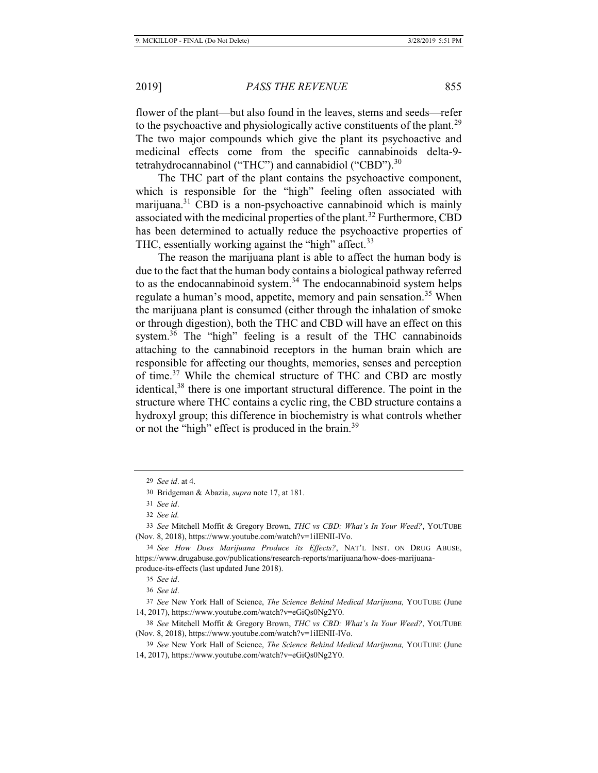flower of the plant—but also found in the leaves, stems and seeds—refer to the psychoactive and physiologically active constituents of the plant.<sup>29</sup> The two major compounds which give the plant its psychoactive and medicinal effects come from the specific cannabinoids delta-9 tetrahydrocannabinol ("THC") and cannabidiol ("CBD"). $^{30}$ 

The THC part of the plant contains the psychoactive component, which is responsible for the "high" feeling often associated with marijuana.<sup>31</sup> CBD is a non-psychoactive cannabinoid which is mainly associated with the medicinal properties of the plant.<sup>32</sup> Furthermore, CBD has been determined to actually reduce the psychoactive properties of THC, essentially working against the "high" affect.  $33$ 

The reason the marijuana plant is able to affect the human body is due to the fact that the human body contains a biological pathway referred to as the endocannabinoid system.<sup>34</sup> The endocannabinoid system helps regulate a human's mood, appetite, memory and pain sensation.<sup>35</sup> When the marijuana plant is consumed (either through the inhalation of smoke or through digestion), both the THC and CBD will have an effect on this system.<sup>36</sup> The "high" feeling is a result of the THC cannabinoids attaching to the cannabinoid receptors in the human brain which are responsible for affecting our thoughts, memories, senses and perception of time.37 While the chemical structure of THC and CBD are mostly identical,<sup>38</sup> there is one important structural difference. The point in the structure where THC contains a cyclic ring, the CBD structure contains a hydroxyl group; this difference in biochemistry is what controls whether or not the "high" effect is produced in the brain.<sup>39</sup>

<sup>29</sup> *See id*. at 4.

<sup>30</sup> Bridgeman & Abazia, *supra* note 17, at 181.

<sup>31</sup> *See id*.

<sup>32</sup> *See id.*

<sup>33</sup> *See* Mitchell Moffit & Gregory Brown, *THC vs CBD: What's In Your Weed?*, YOUTUBE (Nov. 8, 2018), https://www.youtube.com/watch?v=1iIENII-lVo.

<sup>34</sup> *See How Does Marijuana Produce its Effects?*, NAT'L INST. ON DRUG ABUSE, https://www.drugabuse.gov/publications/research-reports/marijuana/how-does-marijuanaproduce-its-effects (last updated June 2018).

<sup>35</sup> *See id*.

<sup>36</sup> *See id*.

<sup>37</sup> *See* New York Hall of Science, *The Science Behind Medical Marijuana,* YOUTUBE (June 14, 2017), https://www.youtube.com/watch?v=eGiQs0Ng2Y0.

<sup>38</sup> *See* Mitchell Moffit & Gregory Brown, *THC vs CBD: What's In Your Weed?*, YOUTUBE (Nov. 8, 2018), https://www.youtube.com/watch?v=1iIENII-lVo.

<sup>39</sup> *See* New York Hall of Science, *The Science Behind Medical Marijuana,* YOUTUBE (June 14, 2017), https://www.youtube.com/watch?v=eGiQs0Ng2Y0.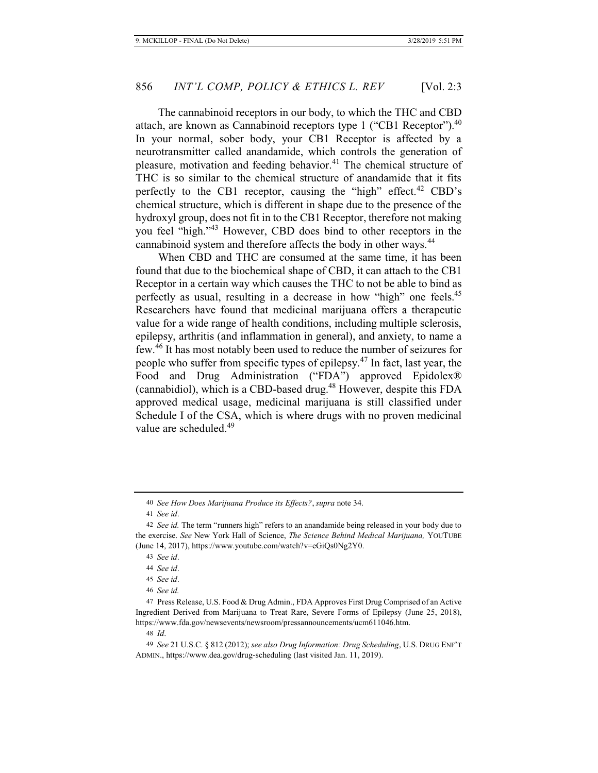The cannabinoid receptors in our body, to which the THC and CBD attach, are known as Cannabinoid receptors type 1 ("CB1 Receptor"). $40$ In your normal, sober body, your CB1 Receptor is affected by a neurotransmitter called anandamide, which controls the generation of pleasure, motivation and feeding behavior.<sup>41</sup> The chemical structure of THC is so similar to the chemical structure of anandamide that it fits perfectly to the CB1 receptor, causing the "high" effect.<sup>42</sup> CBD's chemical structure, which is different in shape due to the presence of the hydroxyl group, does not fit in to the CB1 Receptor, therefore not making you feel "high."43 However, CBD does bind to other receptors in the cannabinoid system and therefore affects the body in other ways.<sup>44</sup>

When CBD and THC are consumed at the same time, it has been found that due to the biochemical shape of CBD, it can attach to the CB1 Receptor in a certain way which causes the THC to not be able to bind as perfectly as usual, resulting in a decrease in how "high" one feels.<sup>45</sup> Researchers have found that medicinal marijuana offers a therapeutic value for a wide range of health conditions, including multiple sclerosis, epilepsy, arthritis (and inflammation in general), and anxiety, to name a few.46 It has most notably been used to reduce the number of seizures for people who suffer from specific types of epilepsy. $47$  In fact, last year, the Food and Drug Administration ("FDA") approved Epidolex® (cannabidiol), which is a CBD-based drug.<sup>48</sup> However, despite this FDA approved medical usage, medicinal marijuana is still classified under Schedule I of the CSA, which is where drugs with no proven medicinal value are scheduled.<sup>49</sup>

<sup>40</sup> *See How Does Marijuana Produce its Effects?*, *supra* note 34.

<sup>41</sup> *See id*.

<sup>42</sup> *See id.* The term "runners high" refers to an anandamide being released in your body due to the exercise. *See* New York Hall of Science, *The Science Behind Medical Marijuana,* YOUTUBE (June 14, 2017), https://www.youtube.com/watch?v=eGiQs0Ng2Y0.

<sup>43</sup> *See id*.

<sup>44</sup> *See id*.

<sup>45</sup> *See id*.

<sup>46</sup> *See id.*

<sup>47</sup> Press Release, U.S. Food & Drug Admin., FDA Approves First Drug Comprised of an Active Ingredient Derived from Marijuana to Treat Rare, Severe Forms of Epilepsy (June 25, 2018), https://www.fda.gov/newsevents/newsroom/pressannouncements/ucm611046.htm.

<sup>48</sup> *Id*.

<sup>49</sup> *See* 21 U.S.C. § 812 (2012); *see also Drug Information: Drug Scheduling*, U.S. DRUG ENF'T ADMIN., https://www.dea.gov/drug-scheduling (last visited Jan. 11, 2019).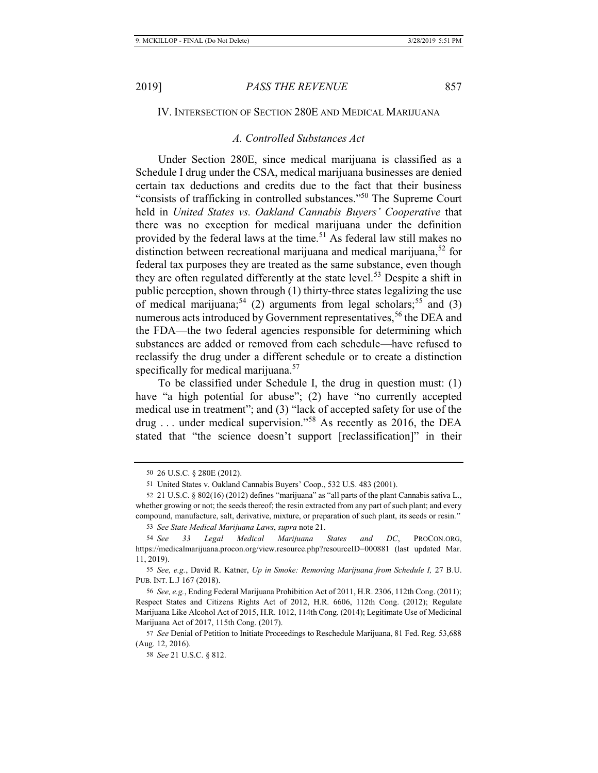# IV. INTERSECTION OF SECTION 280E AND MEDICAL MARIJUANA

### *A. Controlled Substances Act*

Under Section 280E, since medical marijuana is classified as a Schedule I drug under the CSA, medical marijuana businesses are denied certain tax deductions and credits due to the fact that their business "consists of trafficking in controlled substances."50 The Supreme Court held in *United States vs. Oakland Cannabis Buyers' Cooperative* that there was no exception for medical marijuana under the definition provided by the federal laws at the time.<sup>51</sup> As federal law still makes no distinction between recreational marijuana and medical marijuana,<sup>52</sup> for federal tax purposes they are treated as the same substance, even though they are often regulated differently at the state level.<sup>53</sup> Despite a shift in public perception, shown through (1) thirty-three states legalizing the use of medical marijuana;<sup>54</sup> (2) arguments from legal scholars;<sup>55</sup> and (3) numerous acts introduced by Government representatives,<sup>56</sup> the DEA and the FDA—the two federal agencies responsible for determining which substances are added or removed from each schedule—have refused to reclassify the drug under a different schedule or to create a distinction specifically for medical marijuana.<sup>57</sup>

To be classified under Schedule I, the drug in question must: (1) have "a high potential for abuse"; (2) have "no currently accepted medical use in treatment"; and (3) "lack of accepted safety for use of the drug ... under medical supervision."<sup>58</sup> As recently as 2016, the DEA stated that "the science doesn't support [reclassification]" in their

<sup>50 26</sup> U.S.C. § 280E (2012).

<sup>51</sup> United States v. Oakland Cannabis Buyers' Coop., 532 U.S. 483 (2001).

<sup>52 21</sup> U.S.C. § 802(16) (2012) defines "marijuana" as "all parts of the plant Cannabis sativa L., whether growing or not; the seeds thereof; the resin extracted from any part of such plant; and every compound, manufacture, salt, derivative, mixture, or preparation of such plant, its seeds or resin."

<sup>53</sup> *See State Medical Marijuana Laws*, *supra* note 21.

<sup>54</sup> *See 33 Legal Medical Marijuana States and DC*, PROCON.ORG, https://medicalmarijuana.procon.org/view.resource.php?resourceID=000881 (last updated Mar. 11, 2019).

<sup>55</sup> *See, e.g.*, David R. Katner, *Up in Smoke: Removing Marijuana from Schedule I,* 27 B.U. PUB. INT. L.J 167 (2018).

<sup>56</sup> *See, e.g.*, Ending Federal Marijuana Prohibition Act of 2011, H.R. 2306, 112th Cong. (2011); Respect States and Citizens Rights Act of 2012, H.R. 6606, 112th Cong. (2012); Regulate Marijuana Like Alcohol Act of 2015, H.R. 1012, 114th Cong. (2014); Legitimate Use of Medicinal Marijuana Act of 2017, 115th Cong. (2017).

<sup>57</sup> *See* Denial of Petition to Initiate Proceedings to Reschedule Marijuana, 81 Fed. Reg. 53,688 (Aug. 12, 2016).

<sup>58</sup> *See* 21 U.S.C. § 812.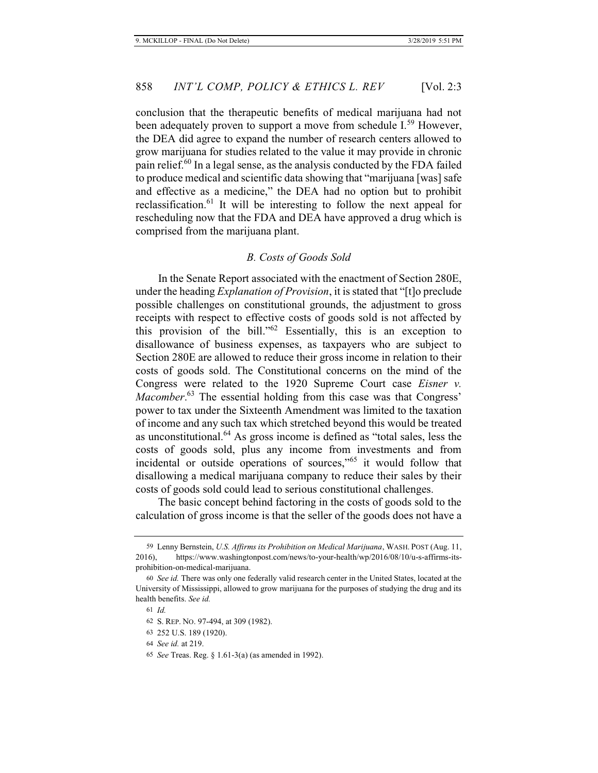conclusion that the therapeutic benefits of medical marijuana had not been adequately proven to support a move from schedule I.<sup>59</sup> However, the DEA did agree to expand the number of research centers allowed to grow marijuana for studies related to the value it may provide in chronic pain relief.<sup>60</sup> In a legal sense, as the analysis conducted by the FDA failed to produce medical and scientific data showing that "marijuana [was] safe and effective as a medicine," the DEA had no option but to prohibit reclassification.<sup>61</sup> It will be interesting to follow the next appeal for rescheduling now that the FDA and DEA have approved a drug which is comprised from the marijuana plant.

#### *B. Costs of Goods Sold*

In the Senate Report associated with the enactment of Section 280E, under the heading *Explanation of Provision*, it is stated that "[t]o preclude possible challenges on constitutional grounds, the adjustment to gross receipts with respect to effective costs of goods sold is not affected by this provision of the bill." $62$  Essentially, this is an exception to disallowance of business expenses, as taxpayers who are subject to Section 280E are allowed to reduce their gross income in relation to their costs of goods sold. The Constitutional concerns on the mind of the Congress were related to the 1920 Supreme Court case *Eisner v. Macomber*. <sup>63</sup> The essential holding from this case was that Congress' power to tax under the Sixteenth Amendment was limited to the taxation of income and any such tax which stretched beyond this would be treated as unconstitutional.64 As gross income is defined as "total sales, less the costs of goods sold, plus any income from investments and from incidental or outside operations of sources,"65 it would follow that disallowing a medical marijuana company to reduce their sales by their costs of goods sold could lead to serious constitutional challenges.

The basic concept behind factoring in the costs of goods sold to the calculation of gross income is that the seller of the goods does not have a

<sup>59</sup> Lenny Bernstein, *U.S. Affirms its Prohibition on Medical Marijuana*, WASH. POST (Aug. 11, 2016), https://www.washingtonpost.com/news/to-your-health/wp/2016/08/10/u-s-affirms-itsprohibition-on-medical-marijuana.

<sup>60</sup> *See id.* There was only one federally valid research center in the United States, located at the University of Mississippi, allowed to grow marijuana for the purposes of studying the drug and its health benefits. *See id.* 

<sup>61</sup> *Id.*

<sup>62</sup> S. REP. NO. 97-494, at 309 (1982).

<sup>63 252</sup> U.S. 189 (1920).

<sup>64</sup> *See id.* at 219.

<sup>65</sup> *See* Treas. Reg. § 1.61-3(a) (as amended in 1992).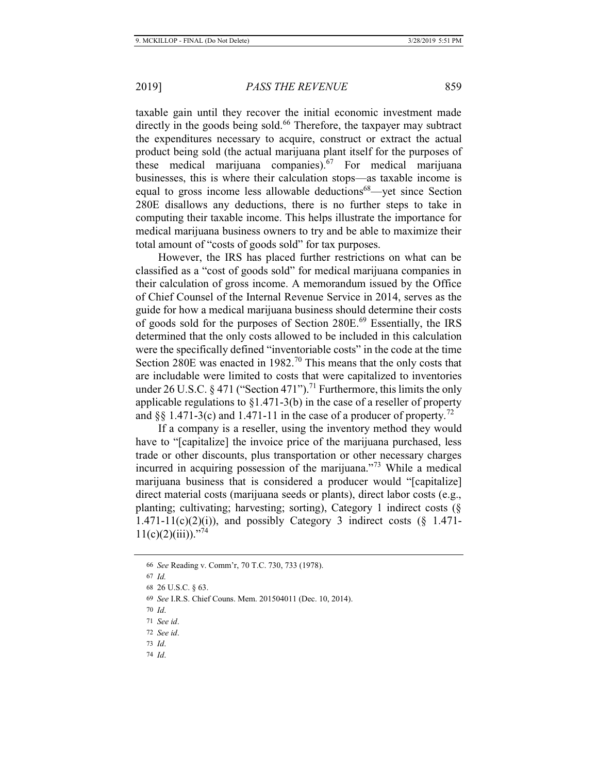taxable gain until they recover the initial economic investment made directly in the goods being sold.<sup>66</sup> Therefore, the taxpayer may subtract the expenditures necessary to acquire, construct or extract the actual product being sold (the actual marijuana plant itself for the purposes of these medical marijuana companies). $67$  For medical marijuana businesses, this is where their calculation stops—as taxable income is equal to gross income less allowable deductions<sup>68</sup>—yet since Section 280E disallows any deductions, there is no further steps to take in computing their taxable income. This helps illustrate the importance for medical marijuana business owners to try and be able to maximize their total amount of "costs of goods sold" for tax purposes.

However, the IRS has placed further restrictions on what can be classified as a "cost of goods sold" for medical marijuana companies in their calculation of gross income. A memorandum issued by the Office of Chief Counsel of the Internal Revenue Service in 2014, serves as the guide for how a medical marijuana business should determine their costs of goods sold for the purposes of Section 280E.<sup>69</sup> Essentially, the IRS determined that the only costs allowed to be included in this calculation were the specifically defined "inventoriable costs" in the code at the time Section 280E was enacted in  $1982<sup>70</sup>$  This means that the only costs that are includable were limited to costs that were capitalized to inventories under 26 U.S.C. § 471 ("Section 471").<sup>71</sup> Furthermore, this limits the only applicable regulations to §1.471-3(b) in the case of a reseller of property and §§ 1.471-3(c) and 1.471-11 in the case of a producer of property.<sup>72</sup>

If a company is a reseller, using the inventory method they would have to "[capitalize] the invoice price of the marijuana purchased, less trade or other discounts, plus transportation or other necessary charges incurred in acquiring possession of the marijuana."<sup>73</sup> While a medical marijuana business that is considered a producer would "[capitalize] direct material costs (marijuana seeds or plants), direct labor costs (e.g., planting; cultivating; harvesting; sorting), Category 1 indirect costs (§  $1.471-11(c)(2)(i)$ , and possibly Category 3 indirect costs (§ 1.471- $11(c)(2)(iii)$ ."<sup>74</sup>

<sup>66</sup> *See* Reading v. Comm'r, 70 T.C. 730, 733 (1978).

<sup>67</sup> *Id.*

<sup>68 26</sup> U.S.C. § 63.

<sup>69</sup> *See* I.R.S. Chief Couns. Mem. 201504011 (Dec. 10, 2014).

<sup>70</sup> *Id*.

<sup>71</sup> *See id*.

<sup>72</sup> *See id*.

<sup>73</sup> *Id*.

<sup>74</sup> *Id*.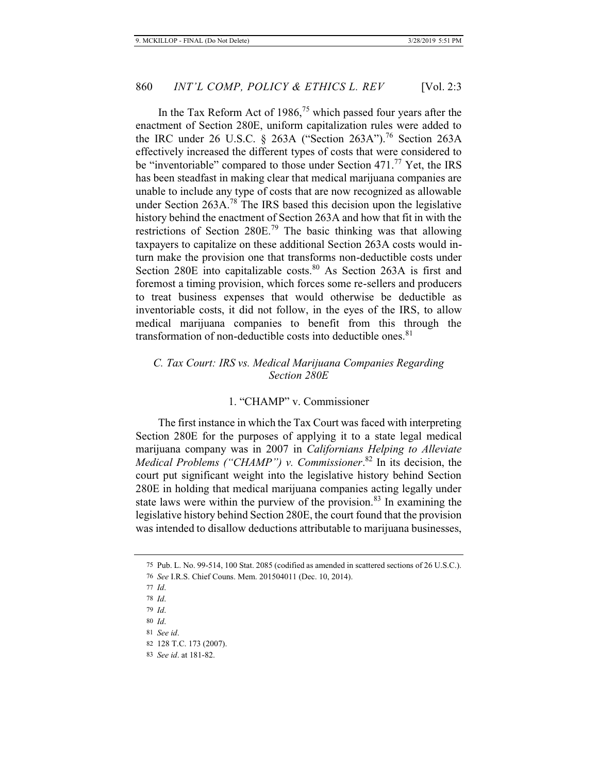In the Tax Reform Act of 1986,<sup>75</sup> which passed four years after the enactment of Section 280E, uniform capitalization rules were added to the IRC under 26 U.S.C. § 263A ("Section 263A").<sup>76</sup> Section 263A effectively increased the different types of costs that were considered to be "inventoriable" compared to those under Section 471.<sup>77</sup> Yet, the IRS has been steadfast in making clear that medical marijuana companies are unable to include any type of costs that are now recognized as allowable under Section 263A.<sup>78</sup> The IRS based this decision upon the legislative history behind the enactment of Section 263A and how that fit in with the restrictions of Section 280E.79 The basic thinking was that allowing taxpayers to capitalize on these additional Section 263A costs would inturn make the provision one that transforms non-deductible costs under Section 280E into capitalizable costs.<sup>80</sup> As Section 263A is first and foremost a timing provision, which forces some re-sellers and producers to treat business expenses that would otherwise be deductible as inventoriable costs, it did not follow, in the eyes of the IRS, to allow medical marijuana companies to benefit from this through the transformation of non-deductible costs into deductible ones.<sup>81</sup>

# *C. Tax Court: IRS vs. Medical Marijuana Companies Regarding Section 280E*

# 1. "CHAMP" v. Commissioner

The first instance in which the Tax Court was faced with interpreting Section 280E for the purposes of applying it to a state legal medical marijuana company was in 2007 in *Californians Helping to Alleviate Medical Problems ("CHAMP") v. Commissioner*. 82 In its decision, the court put significant weight into the legislative history behind Section 280E in holding that medical marijuana companies acting legally under state laws were within the purview of the provision.<sup>83</sup> In examining the legislative history behind Section 280E, the court found that the provision was intended to disallow deductions attributable to marijuana businesses,

<sup>75</sup> Pub. L. No. 99-514, 100 Stat. 2085 (codified as amended in scattered sections of 26 U.S.C.).

<sup>76</sup> *See* I.R.S. Chief Couns. Mem. 201504011 (Dec. 10, 2014).

<sup>77</sup> *Id*.

<sup>78</sup> *Id*.

<sup>79</sup> *Id*.

<sup>80</sup> *Id*.

<sup>81</sup> *See id*.

<sup>82 128</sup> T.C. 173 (2007).

<sup>83</sup> *See id*. at 181-82.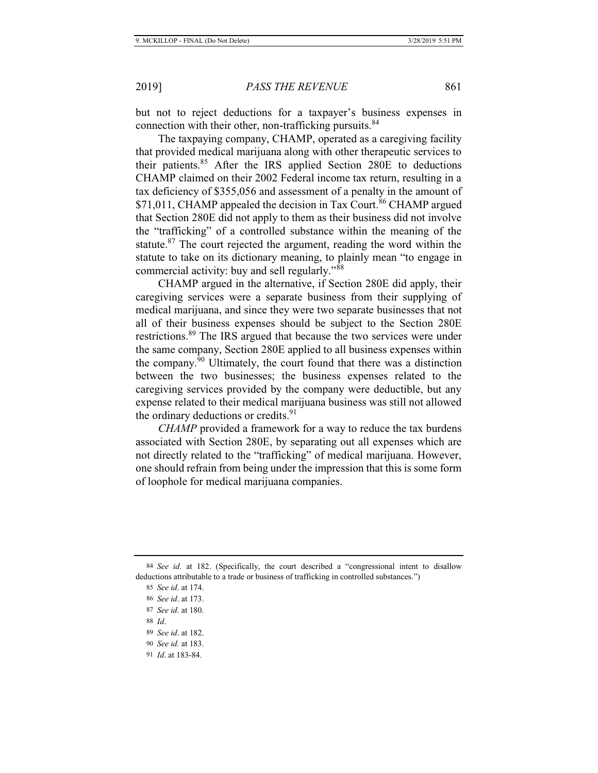but not to reject deductions for a taxpayer's business expenses in connection with their other, non-trafficking pursuits.<sup>84</sup>

The taxpaying company, CHAMP, operated as a caregiving facility that provided medical marijuana along with other therapeutic services to their patients.<sup>85</sup> After the IRS applied Section 280E to deductions CHAMP claimed on their 2002 Federal income tax return, resulting in a tax deficiency of \$355,056 and assessment of a penalty in the amount of \$71,011, CHAMP appealed the decision in Tax Court.<sup>86</sup> CHAMP argued that Section 280E did not apply to them as their business did not involve the "trafficking" of a controlled substance within the meaning of the statute. $87$  The court rejected the argument, reading the word within the statute to take on its dictionary meaning, to plainly mean "to engage in commercial activity: buy and sell regularly."<sup>88</sup>

CHAMP argued in the alternative, if Section 280E did apply, their caregiving services were a separate business from their supplying of medical marijuana, and since they were two separate businesses that not all of their business expenses should be subject to the Section 280E restrictions.<sup>89</sup> The IRS argued that because the two services were under the same company, Section 280E applied to all business expenses within the company.<sup>90</sup> Ultimately, the court found that there was a distinction between the two businesses; the business expenses related to the caregiving services provided by the company were deductible, but any expense related to their medical marijuana business was still not allowed the ordinary deductions or credits.<sup>91</sup>

*CHAMP* provided a framework for a way to reduce the tax burdens associated with Section 280E, by separating out all expenses which are not directly related to the "trafficking" of medical marijuana. However, one should refrain from being under the impression that this is some form of loophole for medical marijuana companies.

88 *Id*.

<sup>84</sup> *See id.* at 182. (Specifically, the court described a "congressional intent to disallow deductions attributable to a trade or business of trafficking in controlled substances.")

<sup>85</sup> *See id*. at 174.

<sup>86</sup> *See id*. at 173.

<sup>87</sup> *See id*. at 180.

<sup>89</sup> *See id*. at 182.

<sup>90</sup> *See id.* at 183.

<sup>91</sup> *Id*. at 183-84.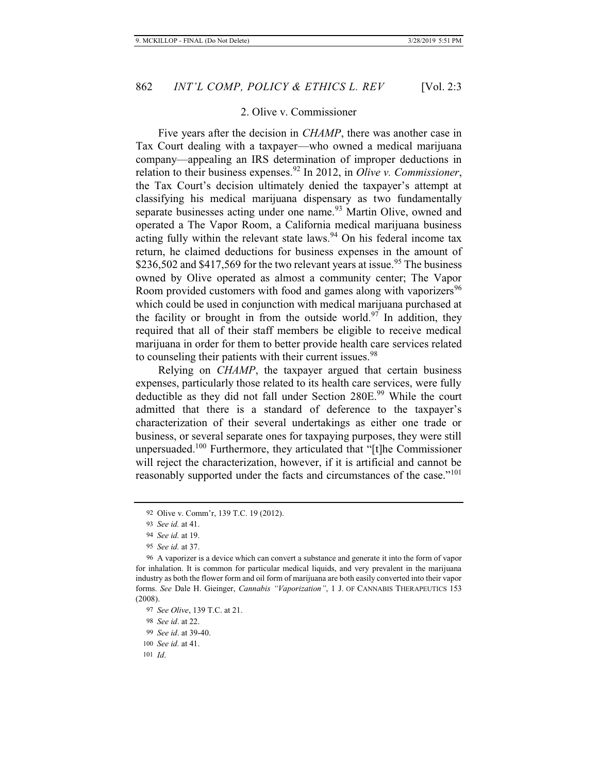# 2. Olive v. Commissioner

Five years after the decision in *CHAMP*, there was another case in Tax Court dealing with a taxpayer—who owned a medical marijuana company—appealing an IRS determination of improper deductions in relation to their business expenses.92 In 2012, in *Olive v. Commissioner*, the Tax Court's decision ultimately denied the taxpayer's attempt at classifying his medical marijuana dispensary as two fundamentally separate businesses acting under one name.<sup>93</sup> Martin Olive, owned and operated a The Vapor Room, a California medical marijuana business acting fully within the relevant state laws.<sup>94</sup> On his federal income tax return, he claimed deductions for business expenses in the amount of \$236,502 and \$417,569 for the two relevant years at issue.<sup>95</sup> The business owned by Olive operated as almost a community center; The Vapor Room provided customers with food and games along with vaporizers<sup>96</sup> which could be used in conjunction with medical marijuana purchased at the facility or brought in from the outside world.<sup>97</sup> In addition, they required that all of their staff members be eligible to receive medical marijuana in order for them to better provide health care services related to counseling their patients with their current issues.<sup>98</sup>

Relying on *CHAMP*, the taxpayer argued that certain business expenses, particularly those related to its health care services, were fully deductible as they did not fall under Section 280E.<sup>99</sup> While the court admitted that there is a standard of deference to the taxpayer's characterization of their several undertakings as either one trade or business, or several separate ones for taxpaying purposes, they were still unpersuaded.<sup>100</sup> Furthermore, they articulated that "[t]he Commissioner will reject the characterization, however, if it is artificial and cannot be reasonably supported under the facts and circumstances of the case."<sup>101</sup>

<sup>92</sup> Olive v. Comm'r, 139 T.C. 19 (2012).

<sup>93</sup> *See id.* at 41.

<sup>94</sup> *See id.* at 19.

<sup>95</sup> *See id.* at 37.

<sup>96</sup> A vaporizer is a device which can convert a substance and generate it into the form of vapor for inhalation. It is common for particular medical liquids, and very prevalent in the marijuana industry as both the flower form and oil form of marijuana are both easily converted into their vapor forms. *See* Dale H. Gieinger, *Cannabis "Vaporization"*, 1 J. OF CANNABIS THERAPEUTICS 153 (2008).

<sup>97</sup> *See Olive*, 139 T.C. at 21.

<sup>98</sup> *See id*. at 22.

<sup>99</sup> *See id*. at 39-40.

<sup>100</sup> *See id.* at 41.

<sup>101</sup> *Id*.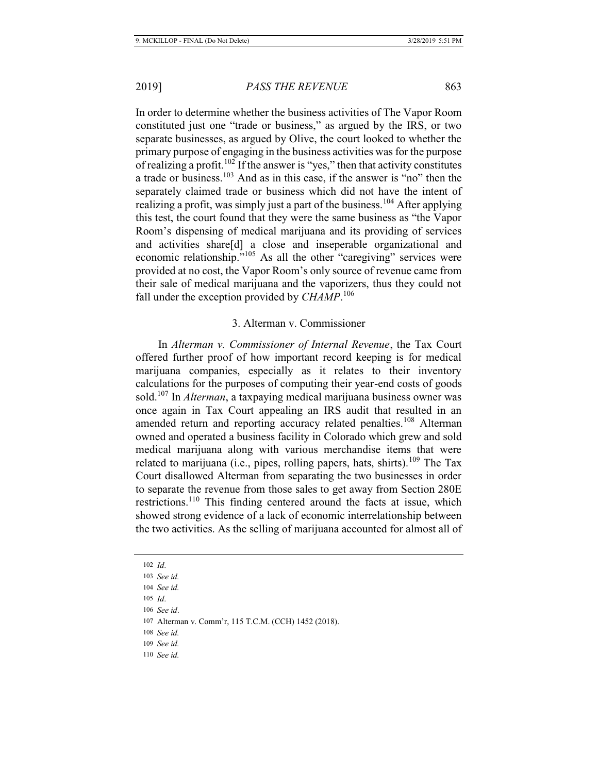In order to determine whether the business activities of The Vapor Room constituted just one "trade or business," as argued by the IRS, or two separate businesses, as argued by Olive, the court looked to whether the primary purpose of engaging in the business activities was for the purpose of realizing a profit.<sup>102</sup> If the answer is "yes," then that activity constitutes a trade or business.103 And as in this case, if the answer is "no" then the separately claimed trade or business which did not have the intent of realizing a profit, was simply just a part of the business.<sup>104</sup> After applying this test, the court found that they were the same business as "the Vapor Room's dispensing of medical marijuana and its providing of services and activities share[d] a close and inseperable organizational and economic relationship."<sup>105</sup> As all the other "caregiving" services were provided at no cost, the Vapor Room's only source of revenue came from their sale of medical marijuana and the vaporizers, thus they could not fall under the exception provided by *CHAMP*. 106

### 3. Alterman v. Commissioner

In *Alterman v. Commissioner of Internal Revenue*, the Tax Court offered further proof of how important record keeping is for medical marijuana companies, especially as it relates to their inventory calculations for the purposes of computing their year-end costs of goods sold.107 In *Alterman*, a taxpaying medical marijuana business owner was once again in Tax Court appealing an IRS audit that resulted in an amended return and reporting accuracy related penalties.<sup>108</sup> Alterman owned and operated a business facility in Colorado which grew and sold medical marijuana along with various merchandise items that were related to marijuana (i.e., pipes, rolling papers, hats, shirts).<sup>109</sup> The Tax Court disallowed Alterman from separating the two businesses in order to separate the revenue from those sales to get away from Section 280E restrictions.<sup>110</sup> This finding centered around the facts at issue, which showed strong evidence of a lack of economic interrelationship between the two activities. As the selling of marijuana accounted for almost all of

110 *See id.*

<sup>102</sup> *Id*.

<sup>103</sup> *See id.* 104 *See id.*

<sup>105</sup> *Id*.

<sup>106</sup> *See id*.

<sup>107</sup> Alterman v. Comm'r, 115 T.C.M. (CCH) 1452 (2018).

<sup>108</sup> *See id.*

<sup>109</sup> *See id.*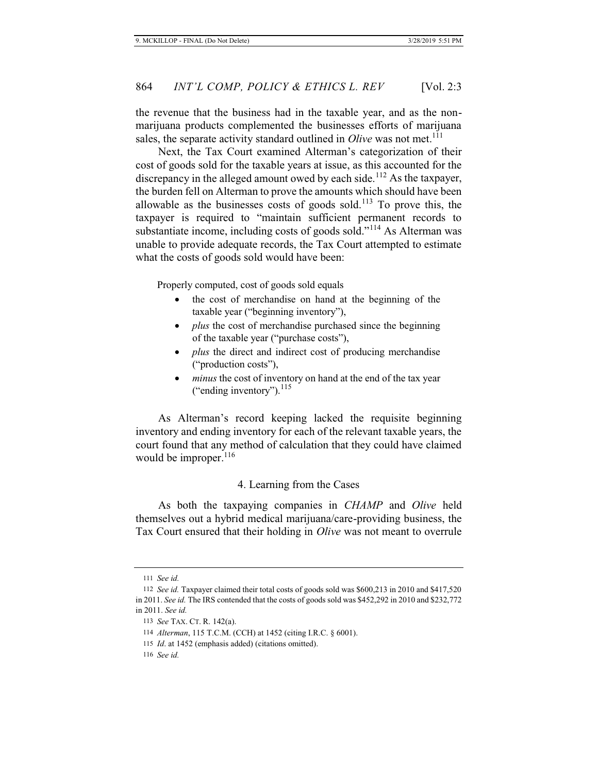the revenue that the business had in the taxable year, and as the nonmarijuana products complemented the businesses efforts of marijuana sales, the separate activity standard outlined in *Olive* was not met.<sup>111</sup>

Next, the Tax Court examined Alterman's categorization of their cost of goods sold for the taxable years at issue, as this accounted for the discrepancy in the alleged amount owed by each side.<sup>112</sup> As the taxpayer, the burden fell on Alterman to prove the amounts which should have been allowable as the businesses costs of goods sold.<sup>113</sup> To prove this, the taxpayer is required to "maintain sufficient permanent records to substantiate income, including costs of goods sold."<sup>114</sup> As Alterman was unable to provide adequate records, the Tax Court attempted to estimate what the costs of goods sold would have been:

Properly computed, cost of goods sold equals

- the cost of merchandise on hand at the beginning of the taxable year ("beginning inventory"),
- *plus* the cost of merchandise purchased since the beginning of the taxable year ("purchase costs"),
- *plus* the direct and indirect cost of producing merchandise ("production costs"),
- *minus* the cost of inventory on hand at the end of the tax year ("ending inventory"). $^{115}$

As Alterman's record keeping lacked the requisite beginning inventory and ending inventory for each of the relevant taxable years, the court found that any method of calculation that they could have claimed would be improper.<sup>116</sup>

#### 4. Learning from the Cases

As both the taxpaying companies in *CHAMP* and *Olive* held themselves out a hybrid medical marijuana/care-providing business, the Tax Court ensured that their holding in *Olive* was not meant to overrule

<sup>111</sup> *See id.*

<sup>112</sup> *See id.* Taxpayer claimed their total costs of goods sold was \$600,213 in 2010 and \$417,520 in 2011. *See id.* The IRS contended that the costs of goods sold was \$452,292 in 2010 and \$232,772 in 2011. *See id.* 

<sup>113</sup> *See* TAX. CT. R. 142(a).

<sup>114</sup> *Alterman*, 115 T.C.M. (CCH) at 1452 (citing I.R.C. § 6001).

<sup>115</sup> *Id*. at 1452 (emphasis added) (citations omitted).

<sup>116</sup> *See id.*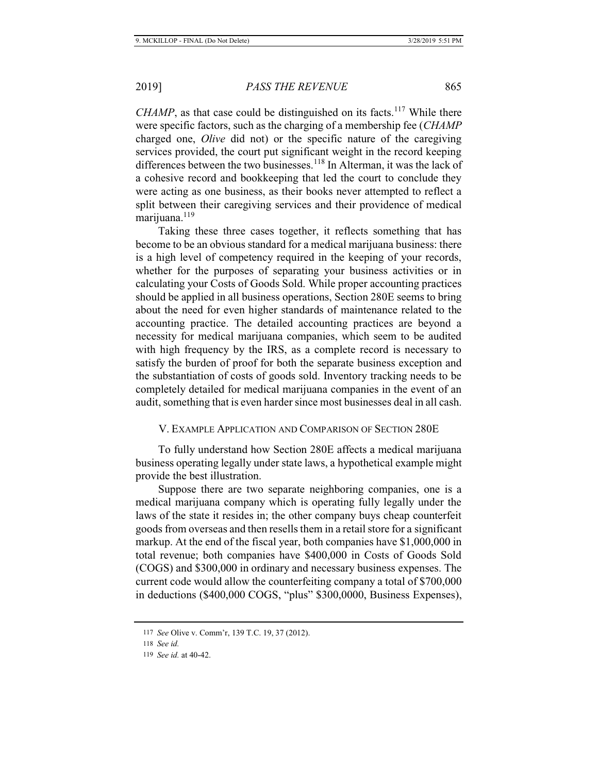*CHAMP*, as that case could be distinguished on its facts.<sup>117</sup> While there were specific factors, such as the charging of a membership fee (*CHAMP*  charged one, *Olive* did not) or the specific nature of the caregiving services provided, the court put significant weight in the record keeping differences between the two businesses.<sup>118</sup> In Alterman, it was the lack of a cohesive record and bookkeeping that led the court to conclude they were acting as one business, as their books never attempted to reflect a split between their caregiving services and their providence of medical marijuana.<sup>119</sup>

Taking these three cases together, it reflects something that has become to be an obvious standard for a medical marijuana business: there is a high level of competency required in the keeping of your records, whether for the purposes of separating your business activities or in calculating your Costs of Goods Sold. While proper accounting practices should be applied in all business operations, Section 280E seems to bring about the need for even higher standards of maintenance related to the accounting practice. The detailed accounting practices are beyond a necessity for medical marijuana companies, which seem to be audited with high frequency by the IRS, as a complete record is necessary to satisfy the burden of proof for both the separate business exception and the substantiation of costs of goods sold. Inventory tracking needs to be completely detailed for medical marijuana companies in the event of an audit, something that is even harder since most businesses deal in all cash.

# V. EXAMPLE APPLICATION AND COMPARISON OF SECTION 280E

To fully understand how Section 280E affects a medical marijuana business operating legally under state laws, a hypothetical example might provide the best illustration.

Suppose there are two separate neighboring companies, one is a medical marijuana company which is operating fully legally under the laws of the state it resides in; the other company buys cheap counterfeit goods from overseas and then resells them in a retail store for a significant markup. At the end of the fiscal year, both companies have \$1,000,000 in total revenue; both companies have \$400,000 in Costs of Goods Sold (COGS) and \$300,000 in ordinary and necessary business expenses. The current code would allow the counterfeiting company a total of \$700,000 in deductions (\$400,000 COGS, "plus" \$300,0000, Business Expenses),

<sup>117</sup> *See* Olive v. Comm'r, 139 T.C. 19, 37 (2012).

<sup>118</sup> *See id.*

<sup>119</sup> *See id.* at 40-42.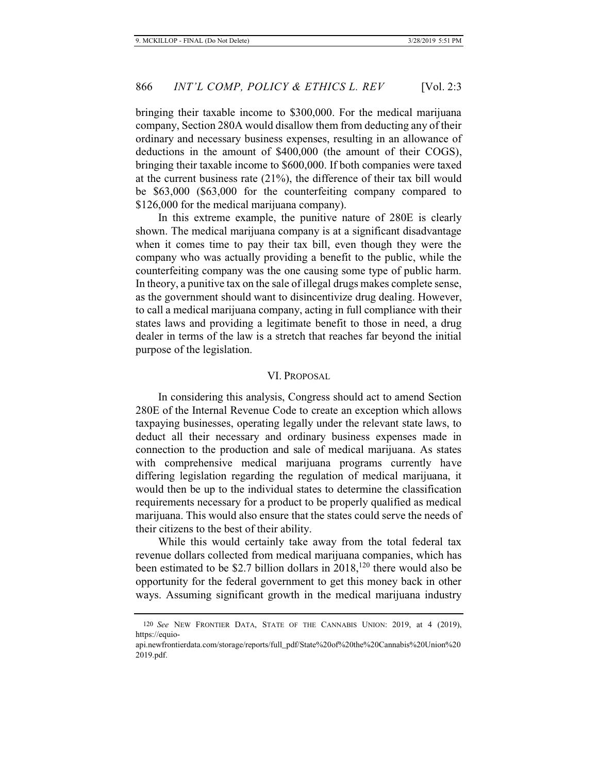bringing their taxable income to \$300,000. For the medical marijuana company, Section 280A would disallow them from deducting any of their ordinary and necessary business expenses, resulting in an allowance of deductions in the amount of \$400,000 (the amount of their COGS), bringing their taxable income to \$600,000. If both companies were taxed at the current business rate (21%), the difference of their tax bill would be \$63,000 (\$63,000 for the counterfeiting company compared to \$126,000 for the medical marijuana company).

In this extreme example, the punitive nature of 280E is clearly shown. The medical marijuana company is at a significant disadvantage when it comes time to pay their tax bill, even though they were the company who was actually providing a benefit to the public, while the counterfeiting company was the one causing some type of public harm. In theory, a punitive tax on the sale of illegal drugs makes complete sense, as the government should want to disincentivize drug dealing. However, to call a medical marijuana company, acting in full compliance with their states laws and providing a legitimate benefit to those in need, a drug dealer in terms of the law is a stretch that reaches far beyond the initial purpose of the legislation.

#### VI. PROPOSAL

In considering this analysis, Congress should act to amend Section 280E of the Internal Revenue Code to create an exception which allows taxpaying businesses, operating legally under the relevant state laws, to deduct all their necessary and ordinary business expenses made in connection to the production and sale of medical marijuana. As states with comprehensive medical marijuana programs currently have differing legislation regarding the regulation of medical marijuana, it would then be up to the individual states to determine the classification requirements necessary for a product to be properly qualified as medical marijuana. This would also ensure that the states could serve the needs of their citizens to the best of their ability.

While this would certainly take away from the total federal tax revenue dollars collected from medical marijuana companies, which has been estimated to be \$2.7 billion dollars in  $2018$ ,<sup>120</sup> there would also be opportunity for the federal government to get this money back in other ways. Assuming significant growth in the medical marijuana industry

<sup>120</sup> *See* NEW FRONTIER DATA, STATE OF THE CANNABIS UNION: 2019, at 4 (2019), https://equio-

api.newfrontierdata.com/storage/reports/full\_pdf/State%20of%20the%20Cannabis%20Union%20 2019.pdf.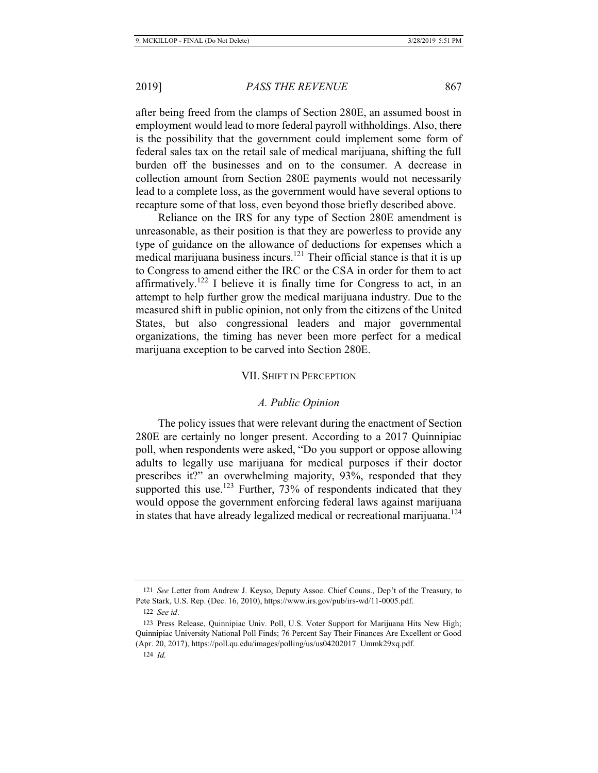after being freed from the clamps of Section 280E, an assumed boost in employment would lead to more federal payroll withholdings. Also, there is the possibility that the government could implement some form of federal sales tax on the retail sale of medical marijuana, shifting the full burden off the businesses and on to the consumer. A decrease in collection amount from Section 280E payments would not necessarily lead to a complete loss, as the government would have several options to recapture some of that loss, even beyond those briefly described above.

Reliance on the IRS for any type of Section 280E amendment is unreasonable, as their position is that they are powerless to provide any type of guidance on the allowance of deductions for expenses which a medical marijuana business incurs.121 Their official stance is that it is up to Congress to amend either the IRC or the CSA in order for them to act affirmatively.<sup>122</sup> I believe it is finally time for Congress to act, in an attempt to help further grow the medical marijuana industry. Due to the measured shift in public opinion, not only from the citizens of the United States, but also congressional leaders and major governmental organizations, the timing has never been more perfect for a medical marijuana exception to be carved into Section 280E.

#### VII. SHIFT IN PERCEPTION

### *A. Public Opinion*

The policy issues that were relevant during the enactment of Section 280E are certainly no longer present. According to a 2017 Quinnipiac poll, when respondents were asked, "Do you support or oppose allowing adults to legally use marijuana for medical purposes if their doctor prescribes it?" an overwhelming majority, 93%, responded that they supported this use.<sup>123</sup> Further,  $73\%$  of respondents indicated that they would oppose the government enforcing federal laws against marijuana in states that have already legalized medical or recreational marijuana.<sup>124</sup>

<sup>121</sup> *See* Letter from Andrew J. Keyso, Deputy Assoc. Chief Couns., Dep't of the Treasury, to Pete Stark, U.S. Rep. (Dec. 16, 2010), https://www.irs.gov/pub/irs-wd/11-0005.pdf.

<sup>122</sup> *See id*.

<sup>123</sup> Press Release, Quinnipiac Univ. Poll, U.S. Voter Support for Marijuana Hits New High; Quinnipiac University National Poll Finds; 76 Percent Say Their Finances Are Excellent or Good (Apr. 20, 2017), https://poll.qu.edu/images/polling/us/us04202017\_Ummk29xq.pdf.

<sup>124</sup> *Id.*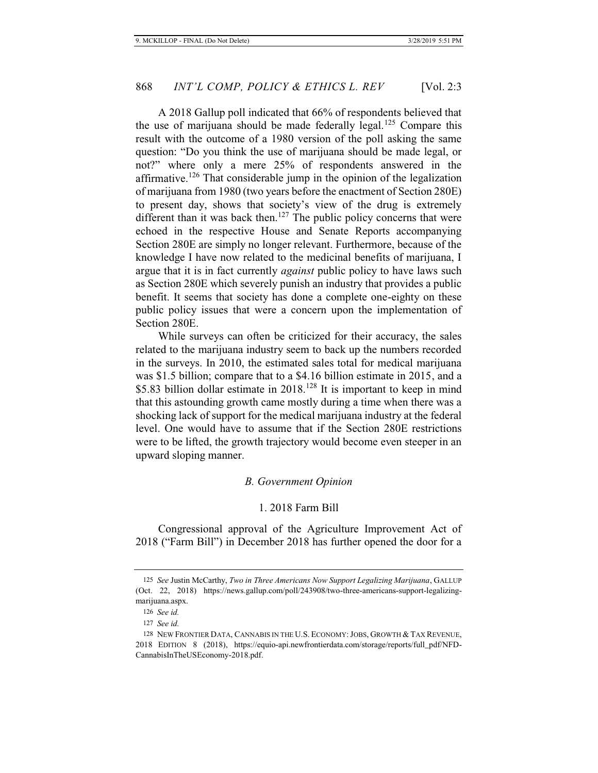A 2018 Gallup poll indicated that 66% of respondents believed that the use of marijuana should be made federally legal.<sup>125</sup> Compare this result with the outcome of a 1980 version of the poll asking the same question: "Do you think the use of marijuana should be made legal, or not?" where only a mere 25% of respondents answered in the affirmative.<sup>126</sup> That considerable jump in the opinion of the legalization of marijuana from 1980 (two years before the enactment of Section 280E) to present day, shows that society's view of the drug is extremely different than it was back then.<sup>127</sup> The public policy concerns that were echoed in the respective House and Senate Reports accompanying Section 280E are simply no longer relevant. Furthermore, because of the knowledge I have now related to the medicinal benefits of marijuana, I argue that it is in fact currently *against* public policy to have laws such as Section 280E which severely punish an industry that provides a public benefit. It seems that society has done a complete one-eighty on these public policy issues that were a concern upon the implementation of Section 280E.

While surveys can often be criticized for their accuracy, the sales related to the marijuana industry seem to back up the numbers recorded in the surveys. In 2010, the estimated sales total for medical marijuana was \$1.5 billion; compare that to a \$4.16 billion estimate in 2015, and a \$5.83 billion dollar estimate in 2018.<sup>128</sup> It is important to keep in mind that this astounding growth came mostly during a time when there was a shocking lack of support for the medical marijuana industry at the federal level. One would have to assume that if the Section 280E restrictions were to be lifted, the growth trajectory would become even steeper in an upward sloping manner.

#### *B. Government Opinion*

#### 1. 2018 Farm Bill

Congressional approval of the Agriculture Improvement Act of 2018 ("Farm Bill") in December 2018 has further opened the door for a

<sup>125</sup> *See* Justin McCarthy, *Two in Three Americans Now Support Legalizing Marijuana*, GALLUP (Oct. 22, 2018) https://news.gallup.com/poll/243908/two-three-americans-support-legalizingmarijuana.aspx.

<sup>126</sup> *See id.*

<sup>127</sup> *See id.*

<sup>128</sup> NEW FRONTIER DATA, CANNABIS IN THE U.S. ECONOMY:JOBS, GROWTH & TAX REVENUE, 2018 EDITION 8 (2018), https://equio-api.newfrontierdata.com/storage/reports/full\_pdf/NFD-CannabisInTheUSEconomy-2018.pdf.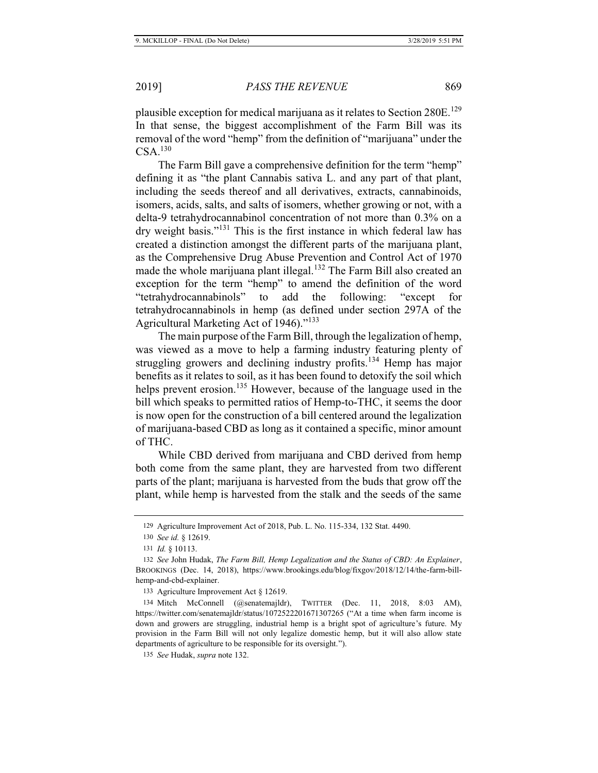plausible exception for medical marijuana as it relates to Section 280E.<sup>129</sup> In that sense, the biggest accomplishment of the Farm Bill was its removal of the word "hemp" from the definition of "marijuana" under the  $CSA.<sup>130</sup>$ 

The Farm Bill gave a comprehensive definition for the term "hemp" defining it as "the plant Cannabis sativa L. and any part of that plant, including the seeds thereof and all derivatives, extracts, cannabinoids, isomers, acids, salts, and salts of isomers, whether growing or not, with a delta-9 tetrahydrocannabinol concentration of not more than 0.3% on a dry weight basis."131 This is the first instance in which federal law has created a distinction amongst the different parts of the marijuana plant, as the Comprehensive Drug Abuse Prevention and Control Act of 1970 made the whole marijuana plant illegal.<sup>132</sup> The Farm Bill also created an exception for the term "hemp" to amend the definition of the word "tetrahydrocannabinols" to add the following: "except for tetrahydrocannabinols in hemp (as defined under section 297A of the Agricultural Marketing Act of 1946)."<sup>133</sup>

The main purpose of the Farm Bill, through the legalization of hemp, was viewed as a move to help a farming industry featuring plenty of struggling growers and declining industry profits.<sup>134</sup> Hemp has major benefits as it relates to soil, as it has been found to detoxify the soil which helps prevent erosion.<sup>135</sup> However, because of the language used in the bill which speaks to permitted ratios of Hemp-to-THC, it seems the door is now open for the construction of a bill centered around the legalization of marijuana-based CBD as long as it contained a specific, minor amount of THC.

While CBD derived from marijuana and CBD derived from hemp both come from the same plant, they are harvested from two different parts of the plant; marijuana is harvested from the buds that grow off the plant, while hemp is harvested from the stalk and the seeds of the same

<sup>129</sup> Agriculture Improvement Act of 2018, Pub. L. No. 115-334, 132 Stat. 4490.

<sup>130</sup> *See id.* § 12619.

<sup>131</sup> *Id.* § 10113.

<sup>132</sup> *See* John Hudak, *The Farm Bill, Hemp Legalization and the Status of CBD: An Explainer*, BROOKINGS (Dec. 14, 2018), https://www.brookings.edu/blog/fixgov/2018/12/14/the-farm-billhemp-and-cbd-explainer.

<sup>133</sup> Agriculture Improvement Act § 12619.

<sup>134</sup> Mitch McConnell (@senatemajldr), TWITTER (Dec. 11, 2018, 8:03 AM), https://twitter.com/senatemajldr/status/1072522201671307265 ("At a time when farm income is down and growers are struggling, industrial hemp is a bright spot of agriculture's future. My provision in the Farm Bill will not only legalize domestic hemp, but it will also allow state departments of agriculture to be responsible for its oversight.").

<sup>135</sup> *See* Hudak, *supra* note 132.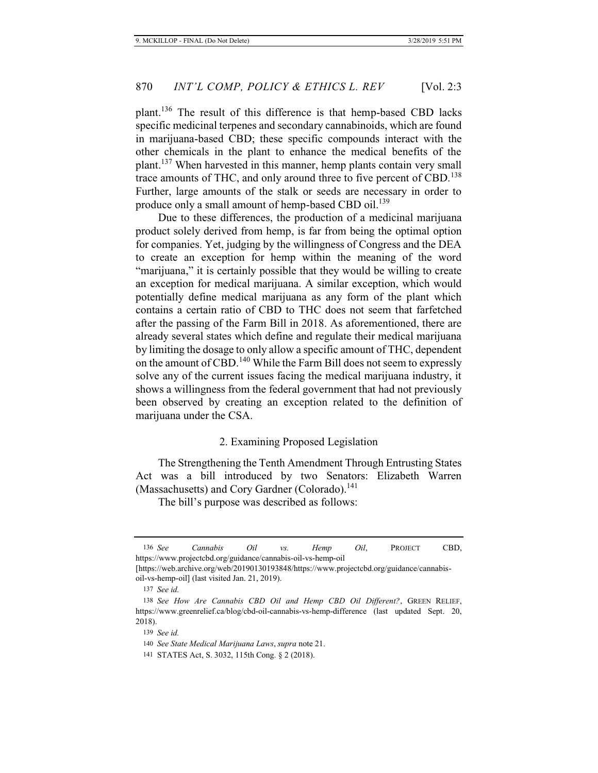plant.136 The result of this difference is that hemp-based CBD lacks specific medicinal terpenes and secondary cannabinoids, which are found in marijuana-based CBD; these specific compounds interact with the other chemicals in the plant to enhance the medical benefits of the plant.137 When harvested in this manner, hemp plants contain very small trace amounts of THC, and only around three to five percent of CBD.<sup>138</sup> Further, large amounts of the stalk or seeds are necessary in order to produce only a small amount of hemp-based CBD oil.<sup>139</sup>

Due to these differences, the production of a medicinal marijuana product solely derived from hemp, is far from being the optimal option for companies. Yet, judging by the willingness of Congress and the DEA to create an exception for hemp within the meaning of the word "marijuana," it is certainly possible that they would be willing to create an exception for medical marijuana. A similar exception, which would potentially define medical marijuana as any form of the plant which contains a certain ratio of CBD to THC does not seem that farfetched after the passing of the Farm Bill in 2018. As aforementioned, there are already several states which define and regulate their medical marijuana by limiting the dosage to only allow a specific amount of THC, dependent on the amount of CBD.<sup>140</sup> While the Farm Bill does not seem to expressly solve any of the current issues facing the medical marijuana industry, it shows a willingness from the federal government that had not previously been observed by creating an exception related to the definition of marijuana under the CSA.

### 2. Examining Proposed Legislation

The Strengthening the Tenth Amendment Through Entrusting States Act was a bill introduced by two Senators: Elizabeth Warren (Massachusetts) and Cory Gardner (Colorado).<sup>141</sup>

The bill's purpose was described as follows:

<sup>136</sup> *See Cannabis Oil vs. Hemp Oil*, PROJECT CBD, https://www.projectcbd.org/guidance/cannabis-oil-vs-hemp-oil

<sup>[</sup>https://web.archive.org/web/20190130193848/https://www.projectcbd.org/guidance/cannabisoil-vs-hemp-oil] (last visited Jan. 21, 2019).

<sup>137</sup> *See id.*

<sup>138</sup> *See How Are Cannabis CBD Oil and Hemp CBD Oil Different?*, GREEN RELIEF, https://www.greenrelief.ca/blog/cbd-oil-cannabis-vs-hemp-difference (last updated Sept. 20, 2018).

<sup>139</sup> *See id.*

<sup>140</sup> *See State Medical Marijuana Laws*, *supra* note 21.

<sup>141</sup> STATES Act, S. 3032, 115th Cong. § 2 (2018).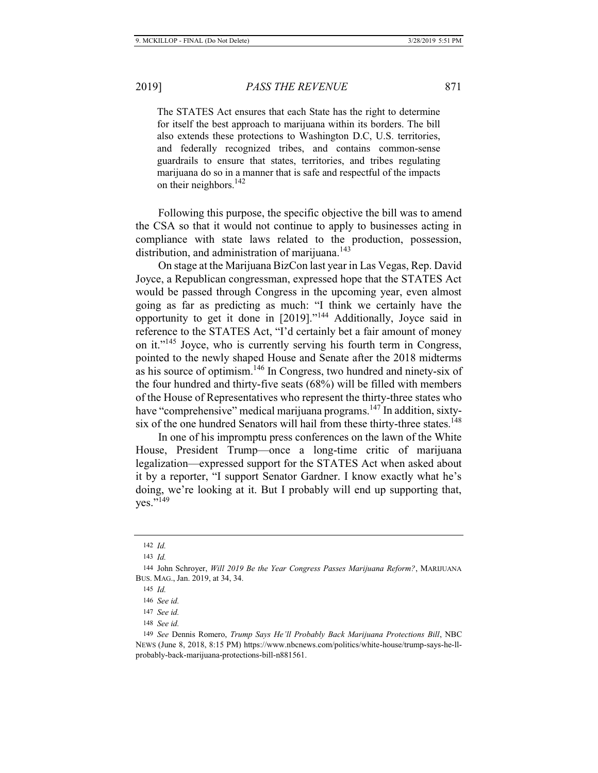The STATES Act ensures that each State has the right to determine for itself the best approach to marijuana within its borders. The bill also extends these protections to Washington D.C, U.S. territories, and federally recognized tribes, and contains common-sense guardrails to ensure that states, territories, and tribes regulating marijuana do so in a manner that is safe and respectful of the impacts on their neighbors.<sup>142</sup>

Following this purpose, the specific objective the bill was to amend the CSA so that it would not continue to apply to businesses acting in compliance with state laws related to the production, possession, distribution, and administration of marijuana.<sup>143</sup>

On stage at the Marijuana BizCon last year in Las Vegas, Rep. David Joyce, a Republican congressman, expressed hope that the STATES Act would be passed through Congress in the upcoming year, even almost going as far as predicting as much: "I think we certainly have the opportunity to get it done in [2019]."144 Additionally, Joyce said in reference to the STATES Act, "I'd certainly bet a fair amount of money on it."145 Joyce, who is currently serving his fourth term in Congress, pointed to the newly shaped House and Senate after the 2018 midterms as his source of optimism.146 In Congress, two hundred and ninety-six of the four hundred and thirty-five seats (68%) will be filled with members of the House of Representatives who represent the thirty-three states who have "comprehensive" medical marijuana programs.<sup>147</sup> In addition, sixtysix of the one hundred Senators will hail from these thirty-three states.<sup>148</sup>

In one of his impromptu press conferences on the lawn of the White House, President Trump—once a long-time critic of marijuana legalization—expressed support for the STATES Act when asked about it by a reporter, "I support Senator Gardner. I know exactly what he's doing, we're looking at it. But I probably will end up supporting that, ves." $^{149}$ 

<sup>142</sup> *Id.*

<sup>143</sup> *Id.*

<sup>144</sup> John Schroyer, *Will 2019 Be the Year Congress Passes Marijuana Reform?*, MARIJUANA BUS. MAG., Jan. 2019, at 34, 34.

<sup>145</sup> *Id.*

<sup>146</sup> *See id.*

<sup>147</sup> *See id.*

<sup>148</sup> *See id.*

<sup>149</sup> *See* Dennis Romero, *Trump Says He'll Probably Back Marijuana Protections Bill*, NBC NEWS (June 8, 2018, 8:15 PM) https://www.nbcnews.com/politics/white-house/trump-says-he-llprobably-back-marijuana-protections-bill-n881561.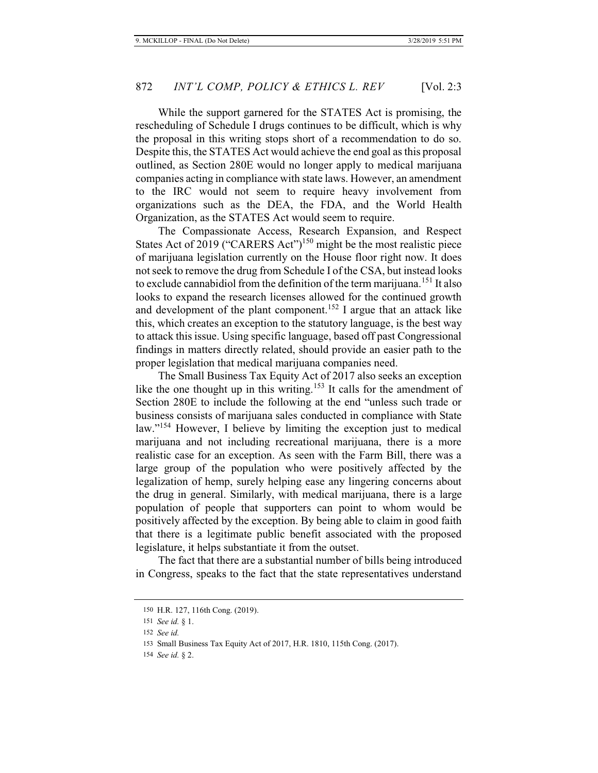While the support garnered for the STATES Act is promising, the rescheduling of Schedule I drugs continues to be difficult, which is why the proposal in this writing stops short of a recommendation to do so. Despite this, the STATES Act would achieve the end goal as this proposal outlined, as Section 280E would no longer apply to medical marijuana companies acting in compliance with state laws. However, an amendment to the IRC would not seem to require heavy involvement from organizations such as the DEA, the FDA, and the World Health Organization, as the STATES Act would seem to require.

The Compassionate Access, Research Expansion, and Respect States Act of 2019 ("CARERS Act")<sup>150</sup> might be the most realistic piece of marijuana legislation currently on the House floor right now. It does not seek to remove the drug from Schedule I of the CSA, but instead looks to exclude cannabidiol from the definition of the term marijuana.<sup>151</sup> It also looks to expand the research licenses allowed for the continued growth and development of the plant component.<sup>152</sup> I argue that an attack like this, which creates an exception to the statutory language, is the best way to attack this issue. Using specific language, based off past Congressional findings in matters directly related, should provide an easier path to the proper legislation that medical marijuana companies need.

The Small Business Tax Equity Act of 2017 also seeks an exception like the one thought up in this writing.<sup>153</sup> It calls for the amendment of Section 280E to include the following at the end "unless such trade or business consists of marijuana sales conducted in compliance with State law."<sup>154</sup> However, I believe by limiting the exception just to medical marijuana and not including recreational marijuana, there is a more realistic case for an exception. As seen with the Farm Bill, there was a large group of the population who were positively affected by the legalization of hemp, surely helping ease any lingering concerns about the drug in general. Similarly, with medical marijuana, there is a large population of people that supporters can point to whom would be positively affected by the exception. By being able to claim in good faith that there is a legitimate public benefit associated with the proposed legislature, it helps substantiate it from the outset.

The fact that there are a substantial number of bills being introduced in Congress, speaks to the fact that the state representatives understand

<sup>150</sup> H.R. 127, 116th Cong. (2019).

<sup>151</sup> *See id.* § 1.

<sup>152</sup> *See id.*

<sup>153</sup> Small Business Tax Equity Act of 2017, H.R. 1810, 115th Cong. (2017).

<sup>154</sup> *See id.* § 2.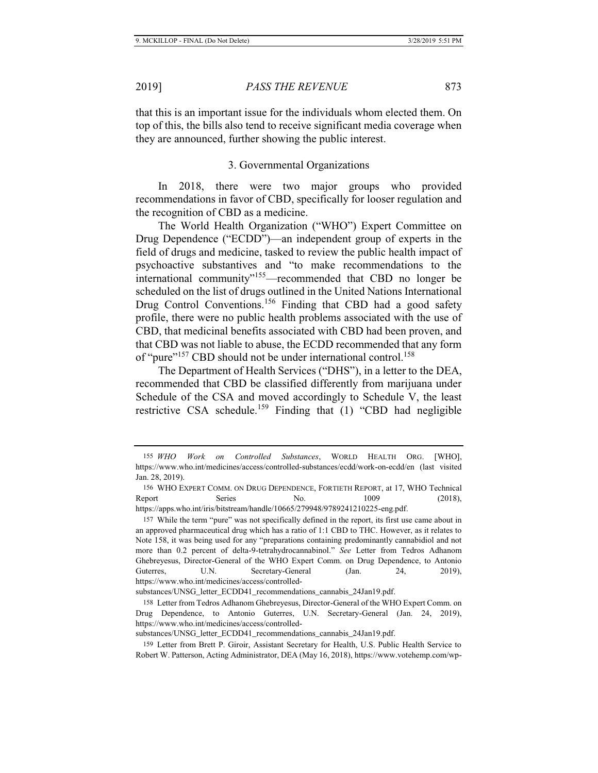that this is an important issue for the individuals whom elected them. On top of this, the bills also tend to receive significant media coverage when they are announced, further showing the public interest.

#### 3. Governmental Organizations

In 2018, there were two major groups who provided recommendations in favor of CBD, specifically for looser regulation and the recognition of CBD as a medicine.

The World Health Organization ("WHO") Expert Committee on Drug Dependence ("ECDD")—an independent group of experts in the field of drugs and medicine, tasked to review the public health impact of psychoactive substantives and "to make recommendations to the international community"<sup>155</sup>—recommended that CBD no longer be scheduled on the list of drugs outlined in the United Nations International Drug Control Conventions.<sup>156</sup> Finding that CBD had a good safety profile, there were no public health problems associated with the use of CBD, that medicinal benefits associated with CBD had been proven, and that CBD was not liable to abuse, the ECDD recommended that any form of "pure"<sup>157</sup> CBD should not be under international control.<sup>158</sup>

The Department of Health Services ("DHS"), in a letter to the DEA, recommended that CBD be classified differently from marijuana under Schedule of the CSA and moved accordingly to Schedule V, the least restrictive CSA schedule.<sup>159</sup> Finding that  $(1)$  "CBD had negligible

substances/UNSG\_letter\_ECDD41\_recommendations\_cannabis\_24Jan19.pdf.

substances/UNSG\_letter\_ECDD41\_recommendations\_cannabis\_24Jan19.pdf.

<sup>155</sup> *WHO Work on Controlled Substances*, WORLD HEALTH ORG. [WHO], https://www.who.int/medicines/access/controlled-substances/ecdd/work-on-ecdd/en (last visited Jan. 28, 2019).

<sup>156</sup> WHO EXPERT COMM. ON DRUG DEPENDENCE, FORTIETH REPORT, at 17, WHO Technical Report Series No. 1009 (2018), https://apps.who.int/iris/bitstream/handle/10665/279948/9789241210225-eng.pdf.

<sup>157</sup> While the term "pure" was not specifically defined in the report, its first use came about in an approved pharmaceutical drug which has a ratio of 1:1 CBD to THC. However, as it relates to Note 158, it was being used for any "preparations containing predominantly cannabidiol and not more than 0.2 percent of delta-9-tetrahydrocannabinol." *See* Letter from Tedros Adhanom Ghebreyesus, Director-General of the WHO Expert Comm. on Drug Dependence, to Antonio Guterres, U.N. Secretary-General (Jan. 24, 2019), https://www.who.int/medicines/access/controlled-

<sup>158</sup> Letter from Tedros Adhanom Ghebreyesus, Director-General of the WHO Expert Comm. on Drug Dependence, to Antonio Guterres, U.N. Secretary-General (Jan. 24, 2019), https://www.who.int/medicines/access/controlled-

<sup>159</sup> Letter from Brett P. Giroir, Assistant Secretary for Health, U.S. Public Health Service to Robert W. Patterson, Acting Administrator, DEA (May 16, 2018), https://www.votehemp.com/wp-